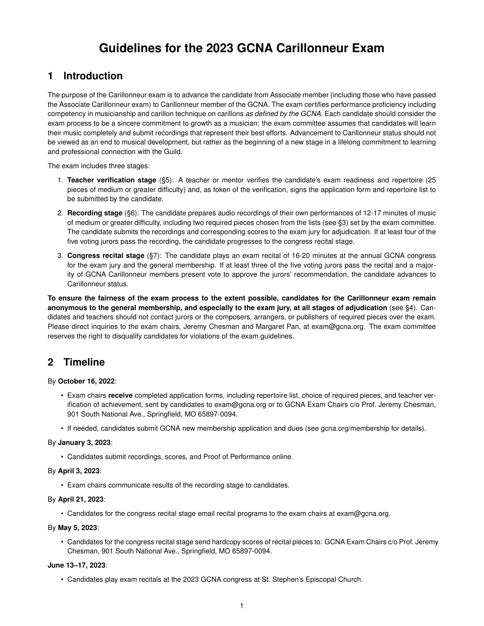# **Guidelines for the 2023 GCNA Carillonneur Exam**

# **1 Introduction**

The purpose of the Carillonneur exam is to advance the candidate from Associate member (including those who have passed the Associate Carillonneur exam) to Carillonneur member of the GCNA. The exam certifies performance proficiency including competency in musicianship and carillon technique on carillons *as defined by the GCNA*. Each candidate should consider the exam process to be a sincere commitment to growth as a musician: the exam committee assumes that candidates will learn their music completely and submit recordings that represent their best efforts. Advancement to Carillonneur status should not be viewed as an end to musical development, but rather as the beginning of a new stage in a lifelong commitment to learning and professional connection with the Guild.

The exam includes three stages:

- 1. **Teacher verification stage** (§5): A teacher or mentor verifies the candidate's exam readiness and repertoire (25 pieces of medium or greater difficulty) and, as token of the verification, signs the application form and repertoire list to be submitted by the candidate.
- 2. **Recording stage** (§6): The candidate prepares audio recordings of their own performances of 12-17 minutes of music of medium or greater difficulty, including two required pieces chosen from the lists (see §3) set by the exam committee. The candidate submits the recordings and corresponding scores to the exam jury for adjudication. If at least four of the five voting jurors pass the recording, the candidate progresses to the congress recital stage.
- 3. **Congress recital stage** (§7): The candidate plays an exam recital of 16-20 minutes at the annual GCNA congress for the exam jury and the general membership. If at least three of the five voting jurors pass the recital and a majority of GCNA Carillonneur members present vote to approve the jurors' recommendation, the candidate advances to Carillonneur status.

**To ensure the fairness of the exam process to the extent possible, candidates for the Carillonneur exam remain anonymous to the general membership, and especially to the exam jury, at all stages of adjudication** (see §4). Candidates and teachers should not contact jurors or the composers, arrangers, or publishers of required pieces over the exam. Please direct inquiries to the exam chairs, Jeremy Chesman and Margaret Pan, at exam@gcna.org. The exam committee reserves the right to disqualify candidates for violations of the exam guidelines.

# **2 Timeline**

By **October 16, 2022**:

- Exam chairs **receive** completed application forms, including repertoire list, choice of required pieces, and teacher verification of achievement, sent by candidates to exam@gcna.org or to GCNA Exam Chairs c/o Prof. Jeremy Chesman, 901 South National Ave., Springfield, MO 65897-0094.
- If needed, candidates submit GCNA new membership application and dues (see gcna.org/membership for details).

#### By **January 3, 2023**:

• Candidates submit recordings, scores, and Proof of Performance online.

#### By **April 3, 2023**:

• Exam chairs communicate results of the recording stage to candidates.

#### By **April 21, 2023**:

• Candidates for the congress recital stage email recital programs to the exam chairs at exam@gcna.org.

#### By **May 5, 2023**:

• Candidates for the congress recital stage send hardcopy scores of recital pieces to: GCNA Exam Chairs c/o Prof. Jeremy Chesman, 901 South National Ave., Springfield, MO 65897-0094.

#### **June 13–17, 2023**:

• Candidates play exam recitals at the 2023 GCNA congress at St. Stephen's Episcopal Church.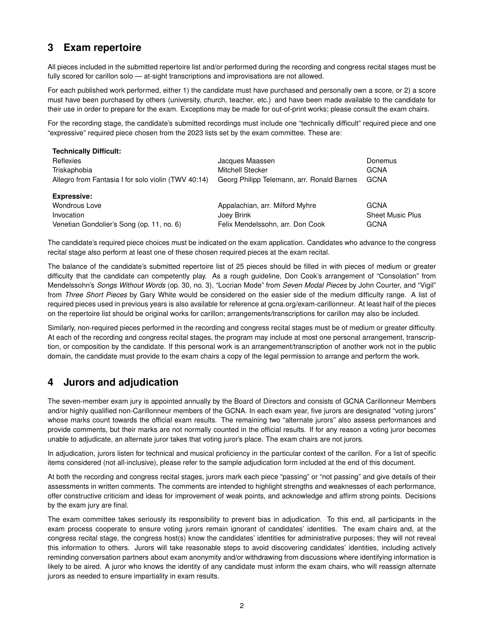# **3 Exam repertoire**

All pieces included in the submitted repertoire list and/or performed during the recording and congress recital stages must be fully scored for carillon solo — at-sight transcriptions and improvisations are not allowed.

For each published work performed, either 1) the candidate must have purchased and personally own a score, or 2) a score must have been purchased by others (university, church, teacher, etc.) and have been made available to the candidate for their use in order to prepare for the exam. Exceptions may be made for out-of-print works; please consult the exam chairs.

For the recording stage, the candidate's submitted recordings must include one "technically difficult" required piece and one "expressive" required piece chosen from the 2023 lists set by the exam committee. These are:

| <b>Technically Difficult:</b>                       |                                            |                         |
|-----------------------------------------------------|--------------------------------------------|-------------------------|
| Reflexies                                           | Jacques Maassen                            | Donemus                 |
| Triskaphobia                                        | Mitchell Stecker                           | <b>GCNA</b>             |
| Allegro from Fantasia I for solo violin (TWV 40:14) | Georg Philipp Telemann, arr. Ronald Barnes | <b>GCNA</b>             |
| <b>Expressive:</b>                                  |                                            |                         |
|                                                     |                                            |                         |
| <b>Wondrous Love</b>                                | Appalachian, arr. Milford Myhre            | <b>GCNA</b>             |
| Invocation                                          | Joey Brink                                 | <b>Sheet Music Plus</b> |

The candidate's required piece choices must be indicated on the exam application. Candidates who advance to the congress recital stage also perform at least one of these chosen required pieces at the exam recital.

The balance of the candidate's submitted repertoire list of 25 pieces should be filled in with pieces of medium or greater difficulty that the candidate can competently play. As a rough guideline, Don Cook's arrangement of "Consolation" from Mendelssohn's *Songs Without Words* (op. 30, no. 3), "Locrian Mode" from *Seven Modal Pieces* by John Courter, and "Vigil" from *Three Short Pieces* by Gary White would be considered on the easier side of the medium difficulty range. A list of required pieces used in previous years is also available for reference at gcna.org/exam-carillonneur. At least half of the pieces on the repertoire list should be original works for carillon; arrangements/transcriptions for carillon may also be included.

Similarly, non-required pieces performed in the recording and congress recital stages must be of medium or greater difficulty. At each of the recording and congress recital stages, the program may include at most one personal arrangement, transcription, or composition by the candidate. If this personal work is an arrangement/transcription of another work not in the public domain, the candidate must provide to the exam chairs a copy of the legal permission to arrange and perform the work.

# **4 Jurors and adjudication**

The seven-member exam jury is appointed annually by the Board of Directors and consists of GCNA Carillonneur Members and/or highly qualified non-Carillonneur members of the GCNA. In each exam year, five jurors are designated "voting jurors" whose marks count towards the official exam results. The remaining two "alternate jurors" also assess performances and provide comments, but their marks are not normally counted in the official results. If for any reason a voting juror becomes unable to adjudicate, an alternate juror takes that voting juror's place. The exam chairs are not jurors.

In adjudication, jurors listen for technical and musical proficiency in the particular context of the carillon. For a list of specific items considered (not all-inclusive), please refer to the sample adjudication form included at the end of this document.

At both the recording and congress recital stages, jurors mark each piece "passing" or "not passing" and give details of their assessments in written comments. The comments are intended to highlight strengths and weaknesses of each performance, offer constructive criticism and ideas for improvement of weak points, and acknowledge and affirm strong points. Decisions by the exam jury are final.

The exam committee takes seriously its responsibility to prevent bias in adjudication. To this end, all participants in the exam process cooperate to ensure voting jurors remain ignorant of candidates' identities. The exam chairs and, at the congress recital stage, the congress host(s) know the candidates' identities for administrative purposes; they will not reveal this information to others. Jurors will take reasonable steps to avoid discovering candidates' identities, including actively reminding conversation partners about exam anonymity and/or withdrawing from discussions where identifying information is likely to be aired. A juror who knows the identity of any candidate must inform the exam chairs, who will reassign alternate jurors as needed to ensure impartiality in exam results.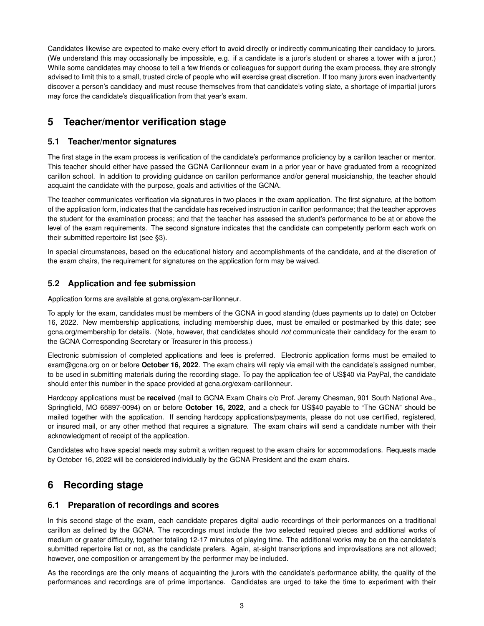Candidates likewise are expected to make every effort to avoid directly or indirectly communicating their candidacy to jurors. (We understand this may occasionally be impossible, e.g. if a candidate is a juror's student or shares a tower with a juror.) While some candidates may choose to tell a few friends or colleagues for support during the exam process, they are strongly advised to limit this to a small, trusted circle of people who will exercise great discretion. If too many jurors even inadvertently discover a person's candidacy and must recuse themselves from that candidate's voting slate, a shortage of impartial jurors may force the candidate's disqualification from that year's exam.

# **5 Teacher/mentor verification stage**

#### **5.1 Teacher/mentor signatures**

The first stage in the exam process is verification of the candidate's performance proficiency by a carillon teacher or mentor. This teacher should either have passed the GCNA Carillonneur exam in a prior year or have graduated from a recognized carillon school. In addition to providing guidance on carillon performance and/or general musicianship, the teacher should acquaint the candidate with the purpose, goals and activities of the GCNA.

The teacher communicates verification via signatures in two places in the exam application. The first signature, at the bottom of the application form, indicates that the candidate has received instruction in carillon performance; that the teacher approves the student for the examination process; and that the teacher has assesed the student's performance to be at or above the level of the exam requirements. The second signature indicates that the candidate can competently perform each work on their submitted repertoire list (see §3).

In special circumstances, based on the educational history and accomplishments of the candidate, and at the discretion of the exam chairs, the requirement for signatures on the application form may be waived.

#### **5.2 Application and fee submission**

Application forms are available at gcna.org/exam-carillonneur.

To apply for the exam, candidates must be members of the GCNA in good standing (dues payments up to date) on October 16, 2022. New membership applications, including membership dues, must be emailed or postmarked by this date; see gcna.org/membership for details. (Note, however, that candidates should *not* communicate their candidacy for the exam to the GCNA Corresponding Secretary or Treasurer in this process.)

Electronic submission of completed applications and fees is preferred. Electronic application forms must be emailed to exam@gcna.org on or before **October 16, 2022**. The exam chairs will reply via email with the candidate's assigned number, to be used in submitting materials during the recording stage. To pay the application fee of US\$40 via PayPal, the candidate should enter this number in the space provided at gcna.org/exam-carillonneur.

Hardcopy applications must be **received** (mail to GCNA Exam Chairs c/o Prof. Jeremy Chesman, 901 South National Ave., Springfield, MO 65897-0094) on or before **October 16, 2022**, and a check for US\$40 payable to "The GCNA" should be mailed together with the application. If sending hardcopy applications/payments, please do not use certified, registered, or insured mail, or any other method that requires a signature. The exam chairs will send a candidate number with their acknowledgment of receipt of the application.

Candidates who have special needs may submit a written request to the exam chairs for accommodations. Requests made by October 16, 2022 will be considered individually by the GCNA President and the exam chairs.

# **6 Recording stage**

#### **6.1 Preparation of recordings and scores**

In this second stage of the exam, each candidate prepares digital audio recordings of their performances on a traditional carillon as defined by the GCNA. The recordings must include the two selected required pieces and additional works of medium or greater difficulty, together totaling 12-17 minutes of playing time. The additional works may be on the candidate's submitted repertoire list or not, as the candidate prefers. Again, at-sight transcriptions and improvisations are not allowed; however, one composition or arrangement by the performer may be included.

As the recordings are the only means of acquainting the jurors with the candidate's performance ability, the quality of the performances and recordings are of prime importance. Candidates are urged to take the time to experiment with their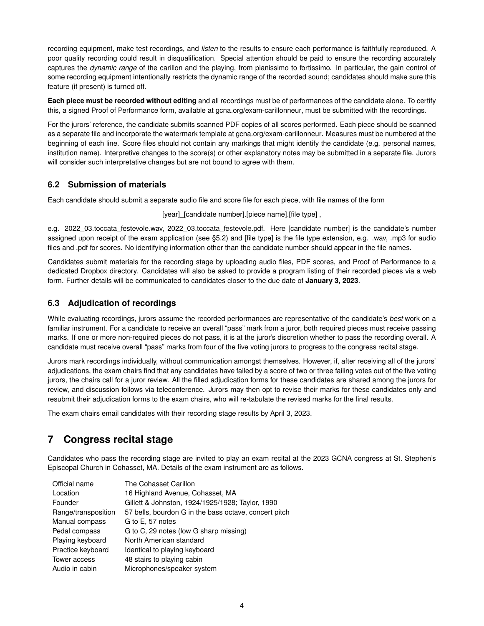recording equipment, make test recordings, and *listen* to the results to ensure each performance is faithfully reproduced. A poor quality recording could result in disqualification. Special attention should be paid to ensure the recording accurately captures the *dynamic range* of the carillon and the playing, from pianissimo to fortissimo. In particular, the gain control of some recording equipment intentionally restricts the dynamic range of the recorded sound; candidates should make sure this feature (if present) is turned off.

**Each piece must be recorded without editing** and all recordings must be of performances of the candidate alone. To certify this, a signed Proof of Performance form, available at gcna.org/exam-carillonneur, must be submitted with the recordings.

For the jurors' reference, the candidate submits scanned PDF copies of all scores performed. Each piece should be scanned as a separate file and incorporate the watermark template at gcna.org/exam-carillonneur. Measures must be numbered at the beginning of each line. Score files should not contain any markings that might identify the candidate (e.g. personal names, institution name). Interpretive changes to the score(s) or other explanatory notes may be submitted in a separate file. Jurors will consider such interpretative changes but are not bound to agree with them.

#### **6.2 Submission of materials**

Each candidate should submit a separate audio file and score file for each piece, with file names of the form

[year] [candidate number].[piece name].[file type],

e.g. 2022 03.toccata festevole.wav, 2022 03.toccata festevole.pdf. Here [candidate number] is the candidate's number assigned upon receipt of the exam application (see §5.2) and [file type] is the file type extension, e.g. wav, .mp3 for audio files and .pdf for scores. No identifying information other than the candidate number should appear in the file names.

Candidates submit materials for the recording stage by uploading audio files, PDF scores, and Proof of Performance to a dedicated Dropbox directory. Candidates will also be asked to provide a program listing of their recorded pieces via a web form. Further details will be communicated to candidates closer to the due date of **January 3, 2023**.

#### **6.3 Adjudication of recordings**

While evaluating recordings, jurors assume the recorded performances are representative of the candidate's *best* work on a familiar instrument. For a candidate to receive an overall "pass" mark from a juror, both required pieces must receive passing marks. If one or more non-required pieces do not pass, it is at the juror's discretion whether to pass the recording overall. A candidate must receive overall "pass" marks from four of the five voting jurors to progress to the congress recital stage.

Jurors mark recordings individually, without communication amongst themselves. However, if, after receiving all of the jurors' adjudications, the exam chairs find that any candidates have failed by a score of two or three failing votes out of the five voting jurors, the chairs call for a juror review. All the filled adjudication forms for these candidates are shared among the jurors for review, and discussion follows via teleconference. Jurors may then opt to revise their marks for these candidates only and resubmit their adjudication forms to the exam chairs, who will re-tabulate the revised marks for the final results.

The exam chairs email candidates with their recording stage results by April 3, 2023.

# **7 Congress recital stage**

Candidates who pass the recording stage are invited to play an exam recital at the 2023 GCNA congress at St. Stephen's Episcopal Church in Cohasset, MA. Details of the exam instrument are as follows.

| Official name       | The Cohasset Carillon                                 |
|---------------------|-------------------------------------------------------|
| Location            | 16 Highland Avenue, Cohasset, MA                      |
| Founder             | Gillett & Johnston, 1924/1925/1928; Taylor, 1990      |
| Range/transposition | 57 bells, bourdon G in the bass octave, concert pitch |
| Manual compass      | G to E, 57 notes                                      |
| Pedal compass       | G to C, 29 notes (low G sharp missing)                |
| Playing keyboard    | North American standard                               |
| Practice keyboard   | Identical to playing keyboard                         |
| Tower access        | 48 stairs to playing cabin                            |
| Audio in cabin      | Microphones/speaker system                            |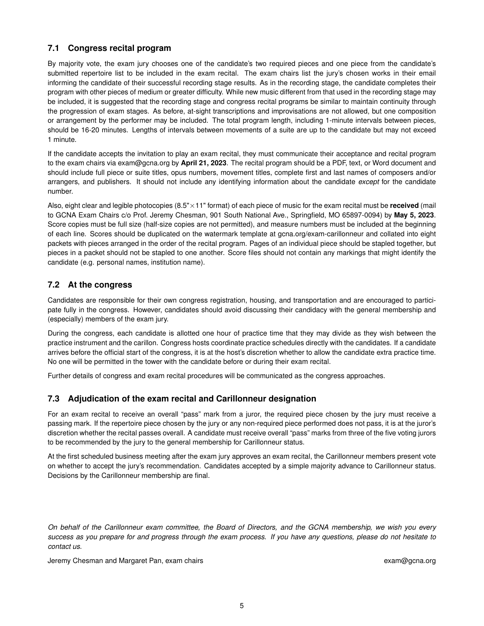### **7.1 Congress recital program**

By majority vote, the exam jury chooses one of the candidate's two required pieces and one piece from the candidate's submitted repertoire list to be included in the exam recital. The exam chairs list the jury's chosen works in their email informing the candidate of their successful recording stage results. As in the recording stage, the candidate completes their program with other pieces of medium or greater difficulty. While new music different from that used in the recording stage may be included, it is suggested that the recording stage and congress recital programs be similar to maintain continuity through the progression of exam stages. As before, at-sight transcriptions and improvisations are not allowed, but one composition or arrangement by the performer may be included. The total program length, including 1-minute intervals between pieces, should be 16-20 minutes. Lengths of intervals between movements of a suite are up to the candidate but may not exceed 1 minute.

If the candidate accepts the invitation to play an exam recital, they must communicate their acceptance and recital program to the exam chairs via exam@gcna.org by **April 21, 2023**. The recital program should be a PDF, text, or Word document and should include full piece or suite titles, opus numbers, movement titles, complete first and last names of composers and/or arrangers, and publishers. It should not include any identifying information about the candidate *except* for the candidate number.

Also, eight clear and legible photocopies (8.5"×11" format) of each piece of music for the exam recital must be **received** (mail to GCNA Exam Chairs c/o Prof. Jeremy Chesman, 901 South National Ave., Springfield, MO 65897-0094) by **May 5, 2023**. Score copies must be full size (half-size copies are not permitted), and measure numbers must be included at the beginning of each line. Scores should be duplicated on the watermark template at gcna.org/exam-carillonneur and collated into eight packets with pieces arranged in the order of the recital program. Pages of an individual piece should be stapled together, but pieces in a packet should not be stapled to one another. Score files should not contain any markings that might identify the candidate (e.g. personal names, institution name).

#### **7.2 At the congress**

Candidates are responsible for their own congress registration, housing, and transportation and are encouraged to participate fully in the congress. However, candidates should avoid discussing their candidacy with the general membership and (especially) members of the exam jury.

During the congress, each candidate is allotted one hour of practice time that they may divide as they wish between the practice instrument and the carillon. Congress hosts coordinate practice schedules directly with the candidates. If a candidate arrives before the official start of the congress, it is at the host's discretion whether to allow the candidate extra practice time. No one will be permitted in the tower with the candidate before or during their exam recital.

Further details of congress and exam recital procedures will be communicated as the congress approaches.

#### **7.3 Adjudication of the exam recital and Carillonneur designation**

For an exam recital to receive an overall "pass" mark from a juror, the required piece chosen by the jury must receive a passing mark. If the repertoire piece chosen by the jury or any non-required piece performed does not pass, it is at the juror's discretion whether the recital passes overall. A candidate must receive overall "pass" marks from three of the five voting jurors to be recommended by the jury to the general membership for Carillonneur status.

At the first scheduled business meeting after the exam jury approves an exam recital, the Carillonneur members present vote on whether to accept the jury's recommendation. Candidates accepted by a simple majority advance to Carillonneur status. Decisions by the Carillonneur membership are final.

*On behalf of the Carillonneur exam committee, the Board of Directors, and the GCNA membership, we wish you every success as you prepare for and progress through the exam process. If you have any questions, please do not hesitate to contact us.*

Jeremy Chesman and Margaret Pan, exam chairs exam@gcna.org